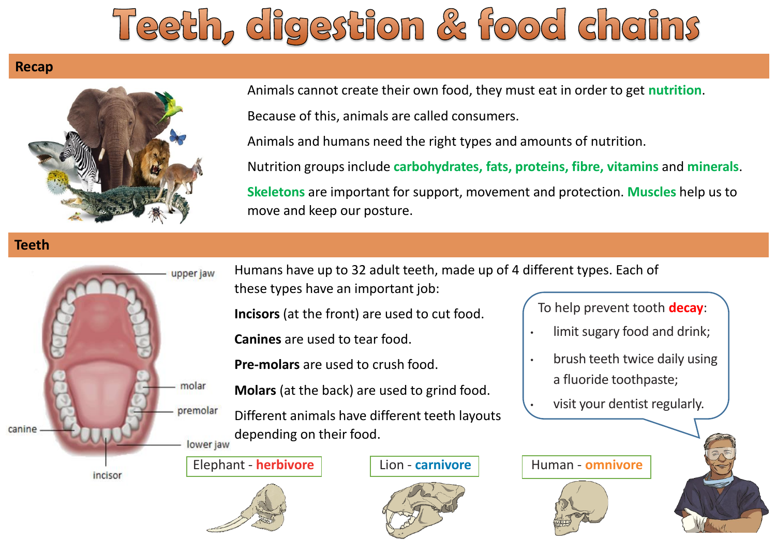# Teeth, digestion & food chains

### **Recap**



Animals cannot create their own food, they must eat in order to get **nutrition**. Because of this, animals are called consumers.

Animals and humans need the right types and amounts of nutrition.

Nutrition groups include **carbohydrates, fats, proteins, fibre, vitamins** and **minerals**.

**Skeletons** are important for support, movement and protection. **Muscles** help us to move and keep our posture.

### **Teeth**



Humans have up to 32 adult teeth, made up of 4 different types. Each of these types have an important job:

**Incisors** (at the front) are used to cut food.

**Canines** are used to tear food.

**Pre-molars** are used to crush food.

**Molars** (at the back) are used to grind food.

Different animals have different teeth layouts depending on their food.

### Elephant - **herbivore**  $\vert$  Lion - **carnivore** Human - **omnivore**





To help prevent tooth **decay**:

- limit sugary food and drink;
- brush teeth twice daily using a fluoride toothpaste;
- visit your dentist regularly.